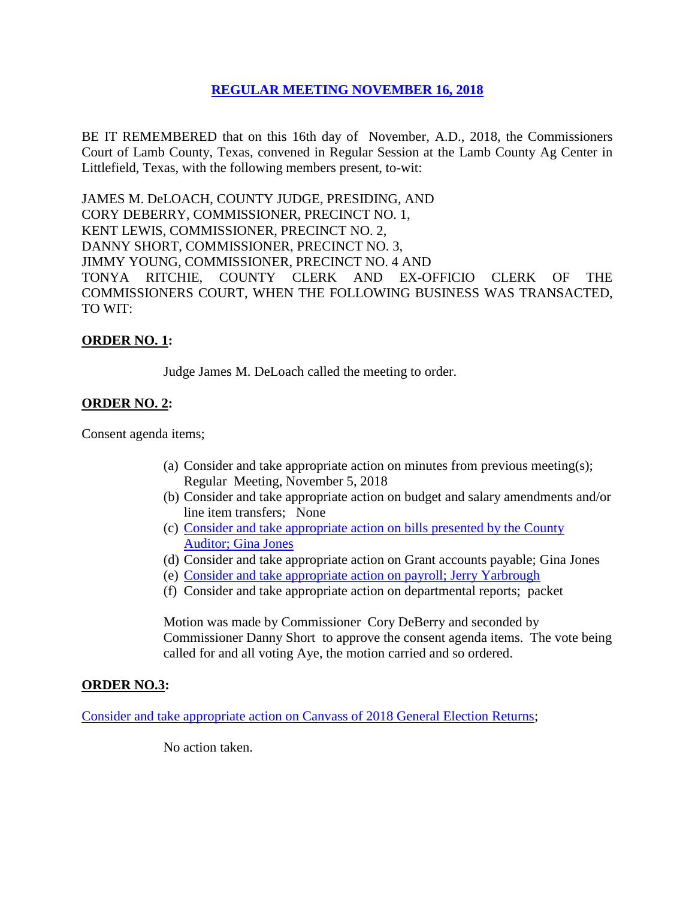# **REGULAR [MEETING NOVEMBER 16,](Links%202018-11-16-Regular/01%20AGENDA%20REGULAR%20MEETING%20NOVEMBER%2016,%202018.pdf) 2018**

BE IT REMEMBERED that on this 16th day of November, A.D., 2018, the Commissioners Court of Lamb County, Texas, convened in Regular Session at the Lamb County Ag Center in Littlefield, Texas, with the following members present, to-wit:

JAMES M. DeLOACH, COUNTY JUDGE, PRESIDING, AND CORY DEBERRY, COMMISSIONER, PRECINCT NO. 1, KENT LEWIS, COMMISSIONER, PRECINCT NO. 2, DANNY SHORT, COMMISSIONER, PRECINCT NO. 3, JIMMY YOUNG, COMMISSIONER, PRECINCT NO. 4 AND TONYA RITCHIE, COUNTY CLERK AND EX-OFFICIO CLERK OF THE COMMISSIONERS COURT, WHEN THE FOLLOWING BUSINESS WAS TRANSACTED, TO WIT:

## **ORDER NO. 1:**

Judge James M. DeLoach called the meeting to order.

## **ORDER NO. 2:**

Consent agenda items;

- (a) Consider and take appropriate action on minutes from previous meeting(s); Regular Meeting, November 5, 2018
- (b) Consider and take appropriate action on budget and salary amendments and/or line item transfers; None
- (c) [Consider and take appropriate action on bills presented by the County](Links%202018-11-16-Regular/03%20ACCOUNTS%20PAYABLE%20REGULAR%20MEETING%20NOVEMBER%2016,%202018.pdf)  Auditor; [Gina Jones](Links%202018-11-16-Regular/03%20ACCOUNTS%20PAYABLE%20REGULAR%20MEETING%20NOVEMBER%2016,%202018.pdf)
- (d) Consider and take appropriate action on Grant accounts payable; Gina Jones
- (e) [Consider and take appropriate action on payroll;](Links%202018-11-16-Regular/04%20PAYROLL%20PAYABLES%20REGULAR%20MEETING%20NOVEMBER%2016,%202018.pdf) Jerry Yarbrough
- (f) Consider and take appropriate action on departmental reports; packet

Motion was made by Commissioner Cory DeBerry and seconded by Commissioner Danny Short to approve the consent agenda items. The vote being called for and all voting Aye, the motion carried and so ordered.

## **ORDER NO.3:**

Consider and take appropriate action [on Canvass of 2018 General Election Returns;](Links%202018-11-16-Regular/05%20CANVASS%20OF%20GENERAL%20ELECTION%20REGULAR%20MEETING%20NOVEMBER%2016,%202018.pdf)

No action taken.